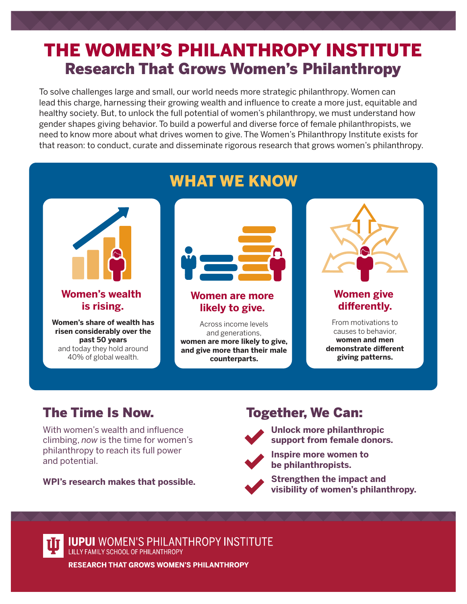## THE WOMEN'S PHILANTHROPY INSTITUTE Research That Grows Women's Philanthropy

To solve challenges large and small, our world needs more strategic philanthropy. Women can lead this charge, harnessing their growing wealth and influence to create a more just, equitable and healthy society. But, to unlock the full potential of women's philanthropy, we must understand how gender shapes giving behavior. To build a powerful and diverse force of female philanthropists, we need to know more about what drives women to give. The Women's Philanthropy Institute exists for that reason: to conduct, curate and disseminate rigorous research that grows women's philanthropy.



## The Time Is Now.

With women's wealth and influence climbing, *now* is the time for women's philanthropy to reach its full power and potential.

**WPI's research makes that possible.**

## Together, We Can:



 **Unlock more philanthropic support from female donors.**



 **Inspire more women to be philanthropists.**

 **Strengthen the impact and visibility of women's philanthropy.**



**IUPUI** WOMEN'S PHILANTHROPY INSTITUTE LILLY FAMILY SCHOOL OF PHILANTHROPY

**RESEARCH THAT GROWS WOMEN'S PHILANTHROPY**